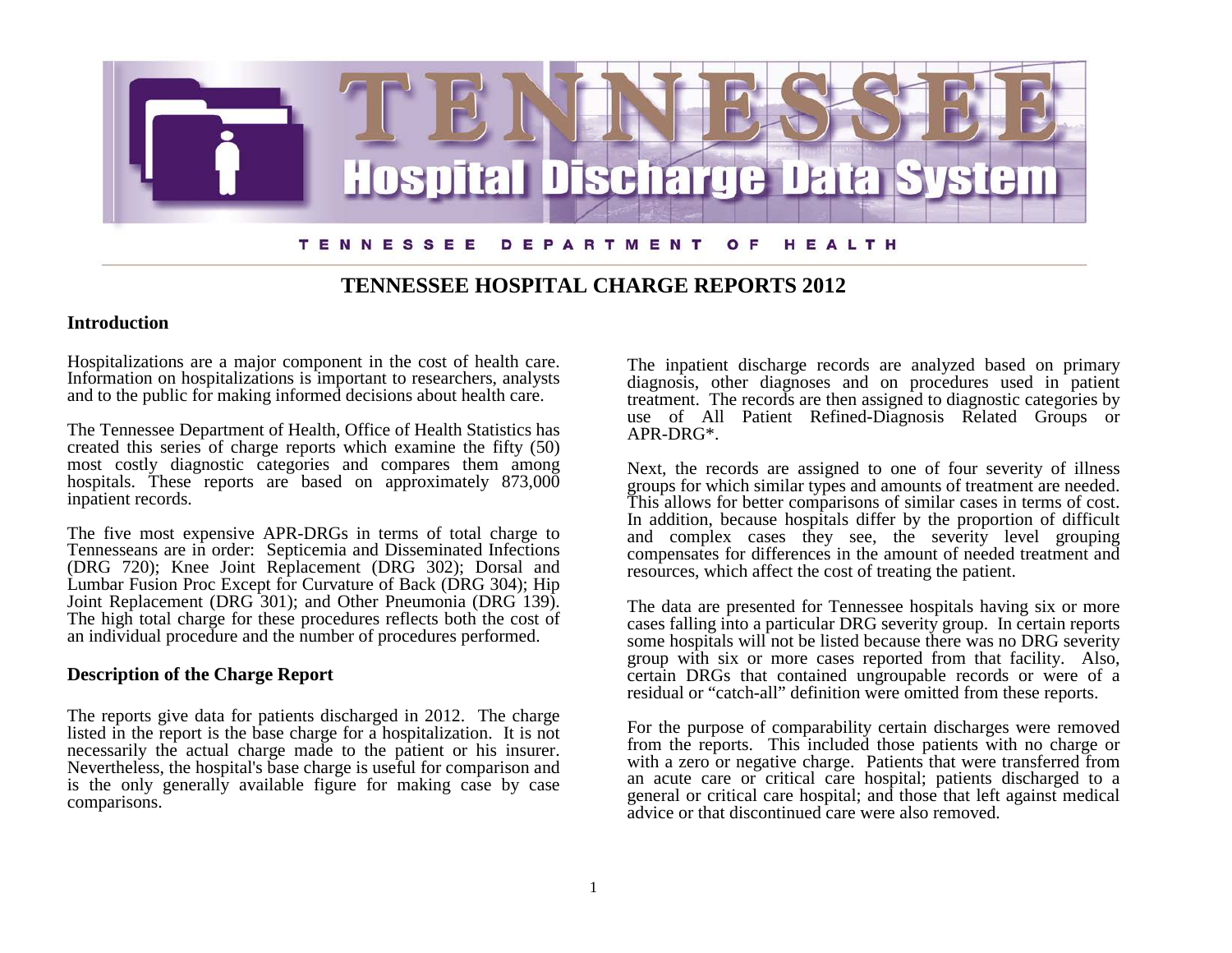

## **TENNESSEE HOSPITAL CHARGE REPORTS 2012**

### **Introduction**

Hospitalizations are a major component in the cost of health care. Information on hospitalizations is important to researchers, analysts and to the public for making informed decisions about health care.

The Tennessee Department of Health, Office of Health Statistics has created this series of charge reports which examine the fifty (50) most costly diagnostic categories and compares them among hospitals. These reports are based on approximately 873,000 inpatient records.

The five most expensive APR-DRGs in terms of total charge to Tennesseans are in order: Septicemia and Disseminated Infections (DRG 720); Knee Joint Replacement (DRG 302); Dorsal and Lumbar Fusion Proc Except for Curvature of Back (DRG 304); Hip Joint Replacement (DRG 301); and Other Pneumonia (DRG 139). The high total charge for these procedures reflects both the cost of an individual procedure and the number of procedures performed.

## **Description of the Charge Report**

The reports give data for patients discharged in 2012. The charge listed in the report is the base charge for a hospitalization. It is not Nevertheless, the hospital's base charge is useful for comparison and is the only generally available figure for making case by case comparisons.

The inpatient discharge records are analyzed based on primary diagnosis, other diagnoses and on procedures used in patient treatment. The records are then assigned to diagnostic categories by use of All Patient Refined-Diagnosis Related Groups or APR-DRG\*.

Next, the records are assigned to one of four severity of illness groups for which similar types and amounts of treatment are needed. This allows for better comparisons of similar cases in terms of cost. In addition, because hospitals differ by the proportion of difficult and complex cases they see, the severity level grouping compensates for differences in the amount of needed treatment and resources, which affect the cost of treating the patient.

The data are presented for Tennessee hospitals having six or more cases falling into a particular DRG severity group. In certain reports some hospitals will not be listed because there was no DRG severity group with six or more cases reported from that facility. Also, certain DRGs that contained ungroupable records or were of a residual or "catch-all" definition were omitted from these reports.

For the purpose of comparability certain discharges were removed from the reports. This included those patients with no charge or with a zero or negative charge. Patients that were transferred from an acute care or critical care hospital; patients discharged to a general or critical care hospital; and those that left against medical advice or that discontinued care were also removed.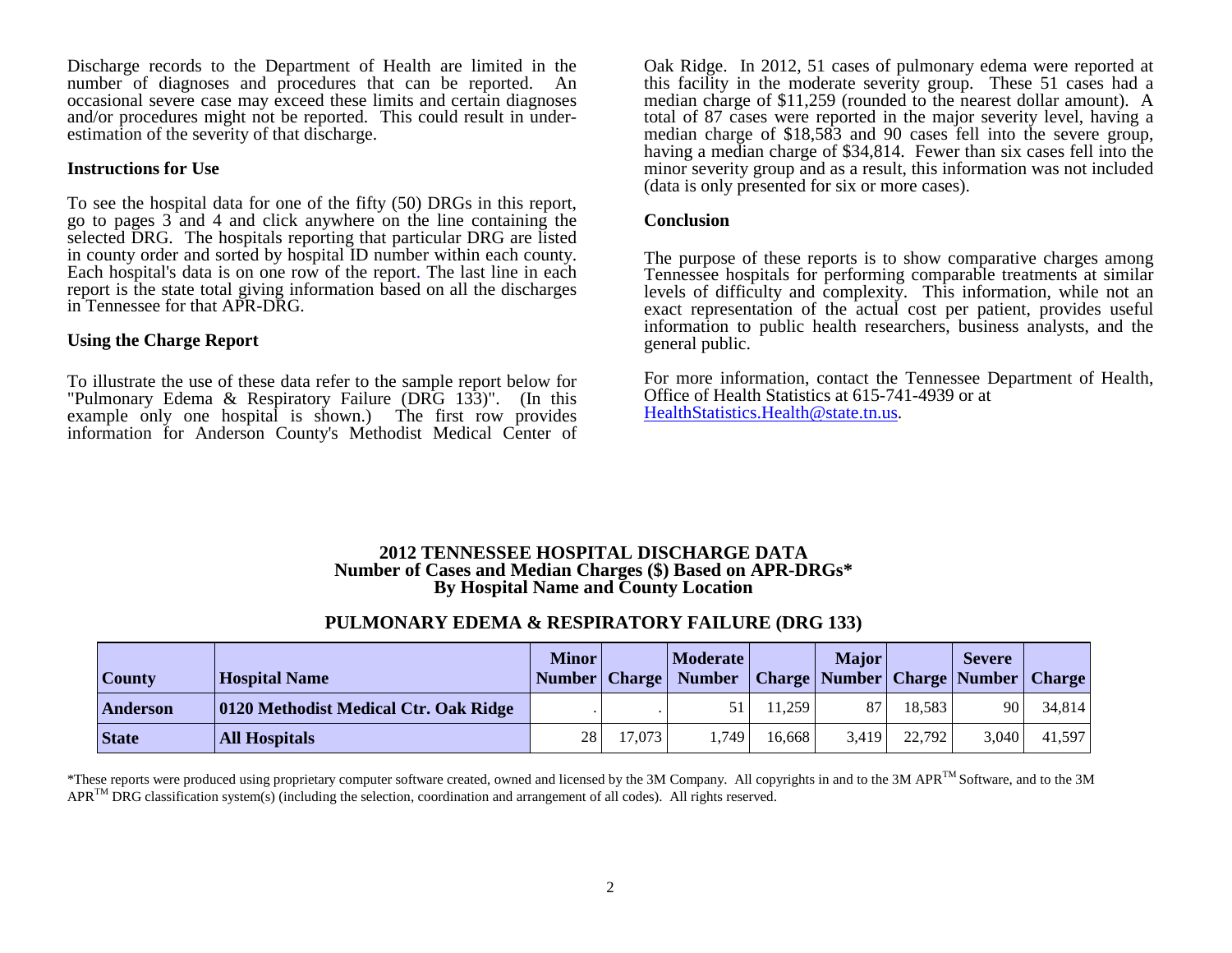Discharge records to the Department of Health are limited in the number of diagnoses and procedures that can be reported. An occasional severe case may exceed these limits and certain diagnoses and/or procedures might not be reported. This could result in under- estimation of the severity of that discharge.

#### **Instructions for Use**

To see the hospital data for one of the fifty (50) DRGs in this report, go to pages 3 and 4 and click anywhere on the line containing the selected DRG. The hospitals reporting that particular DRG are listed in county order and sorted by hospital ID number within each county. Each hospital's data is on one row of the report. The last line in each report is the state total giving information based on all the discharges in Tennessee for that APR-DRG.

### **Using the Charge Report**

To illustrate the use of these data refer to the sample report below for "Pulmonary Edema & Respiratory Failure (DRG 133)". (In this example only one hospital is shown.) The first row provides information for Anderson County's Methodist Medical Center of Oak Ridge. In 2012, 51 cases of pulmonary edema were reported at this facility in the moderate severity group. These 51 cases had a median charge of \$11,259 (rounded to the nearest dollar amount). A total of 87 cases were reported in the major severity level, having a median charge of \$18,583 and 90 cases fell into the severe group, having a median charge of \$34,814. Fewer than six cases fell into the minor severity group and as a result, this information was not included (data is only presented for six or more cases).

#### **Conclusion**

The purpose of these reports is to show comparative charges among Tennessee hospitals for performing comparable treatments at similar levels of difficulty and complexity. This information, while not an exact representation of the actual cost per patient, provides useful information to public health researchers, business analysts, and the general public.

For more information, contact the Tennessee Department of Health, Office of Health Statistics at 615-741-4939 or at [HealthStatistics.Health@state.tn.us.](mailto:HealthStatistics.Health@state.tn.us)

#### **2012 TENNESSEE HOSPITAL DISCHARGE DATA Number of Cases and Median Charges (\$) Based on APR-DRGs\* By Hospital Name and County Location**

## **PULMONARY EDEMA & RESPIRATORY FAILURE (DRG 133)**

| <b>County</b> | <b>Hospital Name</b>                  | <b>Minor</b>    |        | <b>Moderate</b><br>Number Charge Number |        | <b>Major</b> |        | <b>Severe</b><br>  Charge   Number   Charge   Number | <b>Charge</b> |
|---------------|---------------------------------------|-----------------|--------|-----------------------------------------|--------|--------------|--------|------------------------------------------------------|---------------|
| Anderson      | 0120 Methodist Medical Ctr. Oak Ridge |                 |        | 51                                      | 11.259 | 87           | 18.583 | 90                                                   | 34.814        |
| <b>State</b>  | <b>All Hospitals</b>                  | 28 <sup>1</sup> | 17,073 | .749                                    | 16.668 | 3.419        | 22,792 | 3,040                                                | 41,597        |

\*These reports were produced using proprietary computer software created, owned and licensed by the 3M Company. All copyrights in and to the 3M APR<sup>TM</sup> Software, and to the 3M  $APR^{TM} DRG$  classification system(s) (including the selection, coordination and arrangement of all codes). All rights reserved.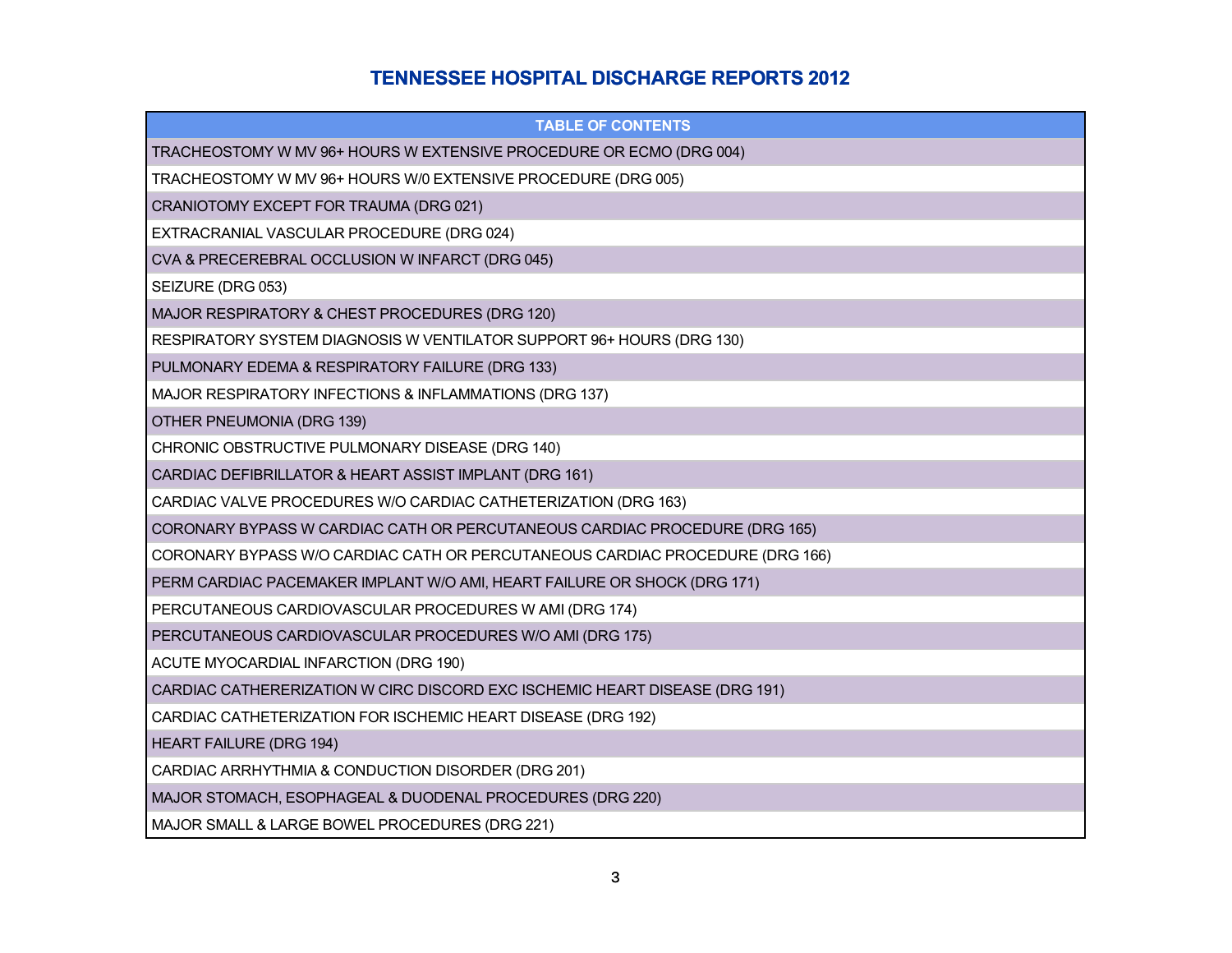## **TENNESSEE HOSPITAL DISCHARGE REPORTS 2012**

| <b>TABLE OF CONTENTS</b>                                                     |
|------------------------------------------------------------------------------|
| TRACHEOSTOMY W MV 96+ HOURS W EXTENSIVE PROCEDURE OR ECMO (DRG 004)          |
| TRACHEOSTOMY W MV 96+ HOURS W/0 EXTENSIVE PROCEDURE (DRG 005)                |
| CRANIOTOMY EXCEPT FOR TRAUMA (DRG 021)                                       |
| EXTRACRANIAL VASCULAR PROCEDURE (DRG 024)                                    |
| CVA & PRECEREBRAL OCCLUSION W INFARCT (DRG 045)                              |
| SEIZURE (DRG 053)                                                            |
| MAJOR RESPIRATORY & CHEST PROCEDURES (DRG 120)                               |
| RESPIRATORY SYSTEM DIAGNOSIS W VENTILATOR SUPPORT 96+ HOURS (DRG 130)        |
| PULMONARY EDEMA & RESPIRATORY FAILURE (DRG 133)                              |
| MAJOR RESPIRATORY INFECTIONS & INFLAMMATIONS (DRG 137)                       |
| OTHER PNEUMONIA (DRG 139)                                                    |
| CHRONIC OBSTRUCTIVE PULMONARY DISEASE (DRG 140)                              |
| CARDIAC DEFIBRILLATOR & HEART ASSIST IMPLANT (DRG 161)                       |
| CARDIAC VALVE PROCEDURES W/O CARDIAC CATHETERIZATION (DRG 163)               |
| CORONARY BYPASS W CARDIAC CATH OR PERCUTANEOUS CARDIAC PROCEDURE (DRG 165)   |
| CORONARY BYPASS W/O CARDIAC CATH OR PERCUTANEOUS CARDIAC PROCEDURE (DRG 166) |
| PERM CARDIAC PACEMAKER IMPLANT W/O AMI, HEART FAILURE OR SHOCK (DRG 171)     |
| PERCUTANEOUS CARDIOVASCULAR PROCEDURES W AMI (DRG 174)                       |
| PERCUTANEOUS CARDIOVASCULAR PROCEDURES W/O AMI (DRG 175)                     |
| ACUTE MYOCARDIAL INFARCTION (DRG 190)                                        |
| CARDIAC CATHERERIZATION W CIRC DISCORD EXC ISCHEMIC HEART DISEASE (DRG 191)  |
| CARDIAC CATHETERIZATION FOR ISCHEMIC HEART DISEASE (DRG 192)                 |
| <b>HEART FAILURE (DRG 194)</b>                                               |
| CARDIAC ARRHYTHMIA & CONDUCTION DISORDER (DRG 201)                           |
| MAJOR STOMACH, ESOPHAGEAL & DUODENAL PROCEDURES (DRG 220)                    |
| MAJOR SMALL & LARGE BOWEL PROCEDURES (DRG 221)                               |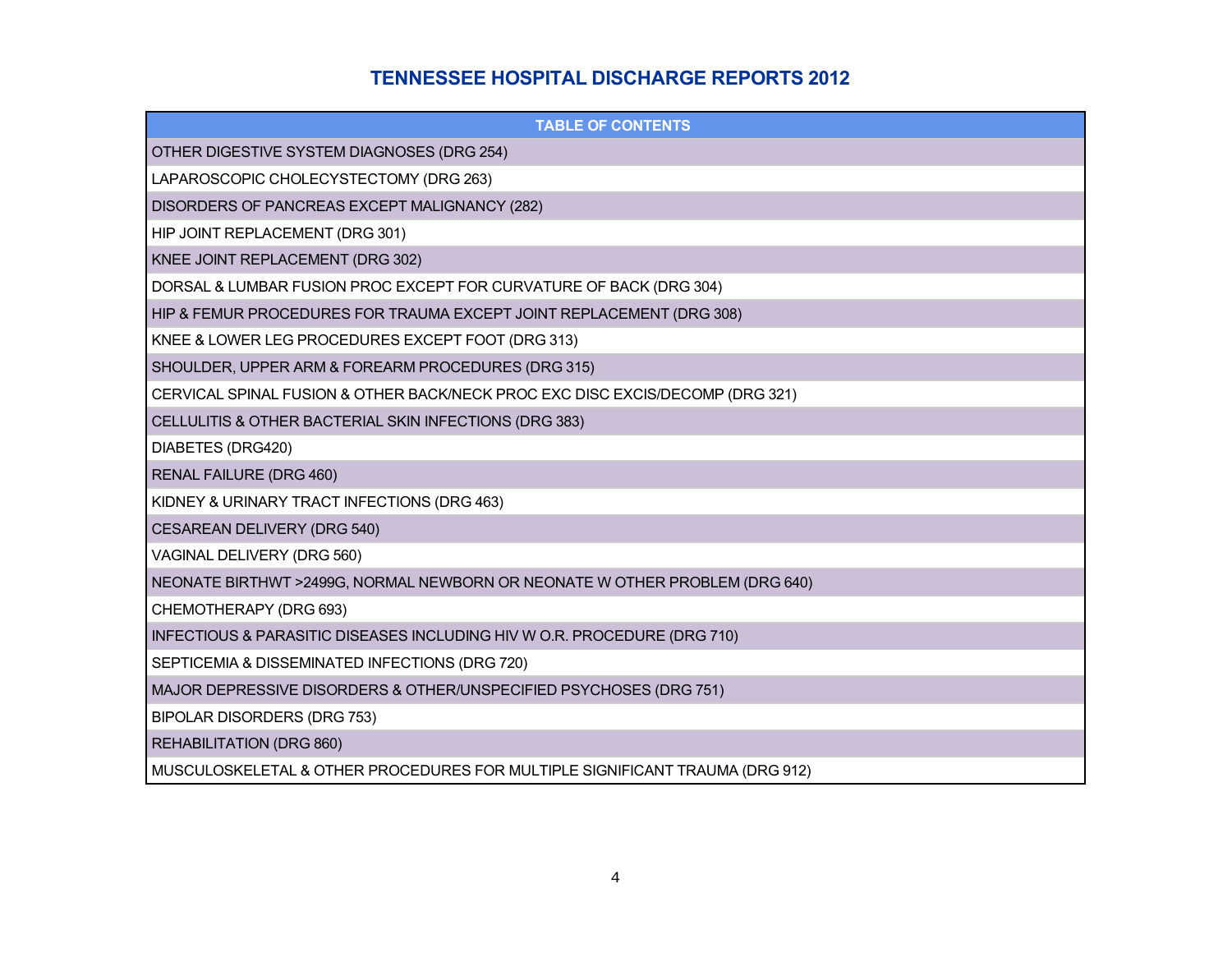# **TENNESSEE HOSPITAL DISCHARGE REPORTS 2012**

| <b>TABLE OF CONTENTS</b>                                                      |
|-------------------------------------------------------------------------------|
| OTHER DIGESTIVE SYSTEM DIAGNOSES (DRG 254)                                    |
| LAPAROSCOPIC CHOLECYSTECTOMY (DRG 263)                                        |
| DISORDERS OF PANCREAS EXCEPT MALIGNANCY (282)                                 |
| HIP JOINT REPLACEMENT (DRG 301)                                               |
| KNEE JOINT REPLACEMENT (DRG 302)                                              |
| DORSAL & LUMBAR FUSION PROC EXCEPT FOR CURVATURE OF BACK (DRG 304)            |
| HIP & FEMUR PROCEDURES FOR TRAUMA EXCEPT JOINT REPLACEMENT (DRG 308)          |
| KNEE & LOWER LEG PROCEDURES EXCEPT FOOT (DRG 313)                             |
| SHOULDER, UPPER ARM & FOREARM PROCEDURES (DRG 315)                            |
| CERVICAL SPINAL FUSION & OTHER BACK/NECK PROC EXC DISC EXCIS/DECOMP (DRG 321) |
| CELLULITIS & OTHER BACTERIAL SKIN INFECTIONS (DRG 383)                        |
| DIABETES (DRG420)                                                             |
| RENAL FAILURE (DRG 460)                                                       |
| KIDNEY & URINARY TRACT INFECTIONS (DRG 463)                                   |
| CESAREAN DELIVERY (DRG 540)                                                   |
| VAGINAL DELIVERY (DRG 560)                                                    |
| NEONATE BIRTHWT >2499G, NORMAL NEWBORN OR NEONATE W OTHER PROBLEM (DRG 640)   |
| CHEMOTHERAPY (DRG 693)                                                        |
| INFECTIOUS & PARASITIC DISEASES INCLUDING HIV W O.R. PROCEDURE (DRG 710)      |
| SEPTICEMIA & DISSEMINATED INFECTIONS (DRG 720)                                |
| MAJOR DEPRESSIVE DISORDERS & OTHER/UNSPECIFIED PSYCHOSES (DRG 751)            |
| BIPOLAR DISORDERS (DRG 753)                                                   |
| REHABILITATION (DRG 860)                                                      |
| MUSCULOSKELETAL & OTHER PROCEDURES FOR MULTIPLE SIGNIFICANT TRAUMA (DRG 912)  |